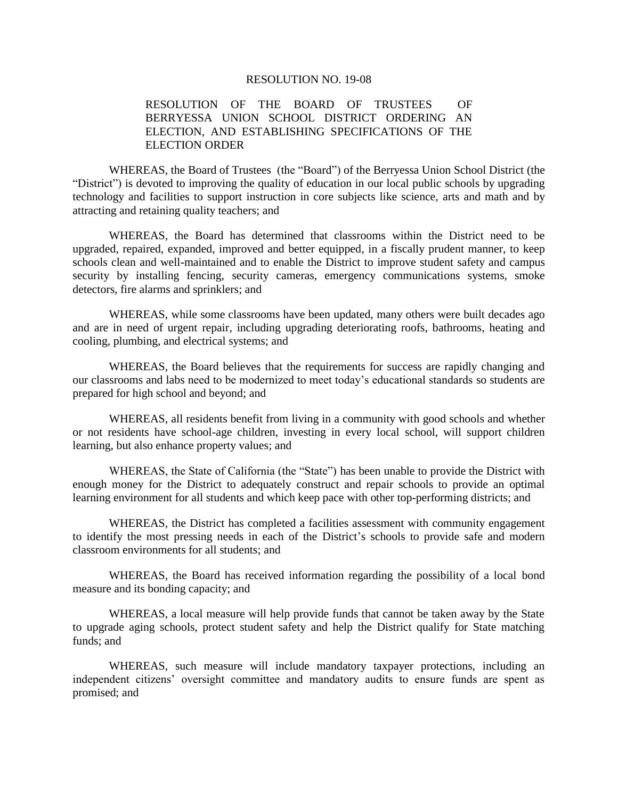#### RESOLUTION NO. 19-08

### RESOLUTION OF THE BOARD OF TRUSTEES OF BERRYESSA UNION SCHOOL DISTRICT ORDERING AN ELECTION, AND ESTABLISHING SPECIFICATIONS OF THE ELECTION ORDER

WHEREAS, the Board of Trustees (the "Board") of the Berryessa Union School District (the "District") is devoted to improving the quality of education in our local public schools by upgrading technology and facilities to support instruction in core subjects like science, arts and math and by attracting and retaining quality teachers; and

WHEREAS, the Board has determined that classrooms within the District need to be upgraded, repaired, expanded, improved and better equipped, in a fiscally prudent manner, to keep schools clean and well-maintained and to enable the District to improve student safety and campus security by installing fencing, security cameras, emergency communications systems, smoke detectors, fire alarms and sprinklers; and

WHEREAS, while some classrooms have been updated, many others were built decades ago and are in need of urgent repair, including upgrading deteriorating roofs, bathrooms, heating and cooling, plumbing, and electrical systems; and

WHEREAS, the Board believes that the requirements for success are rapidly changing and our classrooms and labs need to be modernized to meet today's educational standards so students are prepared for high school and beyond; and

WHEREAS, all residents benefit from living in a community with good schools and whether or not residents have school-age children, investing in every local school, will support children learning, but also enhance property values; and

WHEREAS, the State of California (the "State") has been unable to provide the District with enough money for the District to adequately construct and repair schools to provide an optimal learning environment for all students and which keep pace with other top-performing districts; and

WHEREAS, the District has completed a facilities assessment with community engagement to identify the most pressing needs in each of the District's schools to provide safe and modern classroom environments for all students; and

WHEREAS, the Board has received information regarding the possibility of a local bond measure and its bonding capacity; and

WHEREAS, a local measure will help provide funds that cannot be taken away by the State to upgrade aging schools, protect student safety and help the District qualify for State matching funds; and

WHEREAS, such measure will include mandatory taxpayer protections, including an independent citizens' oversight committee and mandatory audits to ensure funds are spent as promised; and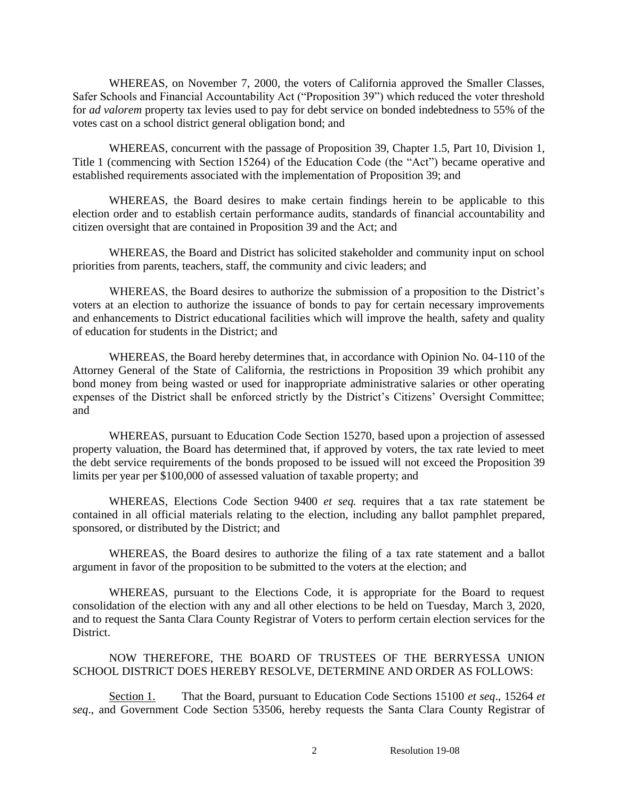WHEREAS, on November 7, 2000, the voters of California approved the Smaller Classes, Safer Schools and Financial Accountability Act ("Proposition 39") which reduced the voter threshold for *ad valorem* property tax levies used to pay for debt service on bonded indebtedness to 55% of the votes cast on a school district general obligation bond; and

WHEREAS, concurrent with the passage of Proposition 39, Chapter 1.5, Part 10, Division 1, Title 1 (commencing with Section 15264) of the Education Code (the "Act") became operative and established requirements associated with the implementation of Proposition 39; and

WHEREAS, the Board desires to make certain findings herein to be applicable to this election order and to establish certain performance audits, standards of financial accountability and citizen oversight that are contained in Proposition 39 and the Act; and

WHEREAS, the Board and District has solicited stakeholder and community input on school priorities from parents, teachers, staff, the community and civic leaders; and

WHEREAS, the Board desires to authorize the submission of a proposition to the District's voters at an election to authorize the issuance of bonds to pay for certain necessary improvements and enhancements to District educational facilities which will improve the health, safety and quality of education for students in the District; and

WHEREAS, the Board hereby determines that, in accordance with Opinion No. 04-110 of the Attorney General of the State of California, the restrictions in Proposition 39 which prohibit any bond money from being wasted or used for inappropriate administrative salaries or other operating expenses of the District shall be enforced strictly by the District's Citizens' Oversight Committee; and

WHEREAS, pursuant to Education Code Section 15270, based upon a projection of assessed property valuation, the Board has determined that, if approved by voters, the tax rate levied to meet the debt service requirements of the bonds proposed to be issued will not exceed the Proposition 39 limits per year per \$100,000 of assessed valuation of taxable property; and

WHEREAS, Elections Code Section 9400 *et seq.* requires that a tax rate statement be contained in all official materials relating to the election, including any ballot pamphlet prepared, sponsored, or distributed by the District; and

WHEREAS, the Board desires to authorize the filing of a tax rate statement and a ballot argument in favor of the proposition to be submitted to the voters at the election; and

WHEREAS, pursuant to the Elections Code, it is appropriate for the Board to request consolidation of the election with any and all other elections to be held on Tuesday, March 3, 2020, and to request the Santa Clara County Registrar of Voters to perform certain election services for the District.

NOW THEREFORE, THE BOARD OF TRUSTEES OF THE BERRYESSA UNION SCHOOL DISTRICT DOES HEREBY RESOLVE, DETERMINE AND ORDER AS FOLLOWS:

Section 1. That the Board, pursuant to Education Code Sections 15100 *et seq*., 15264 *et seq*., and Government Code Section 53506, hereby requests the Santa Clara County Registrar of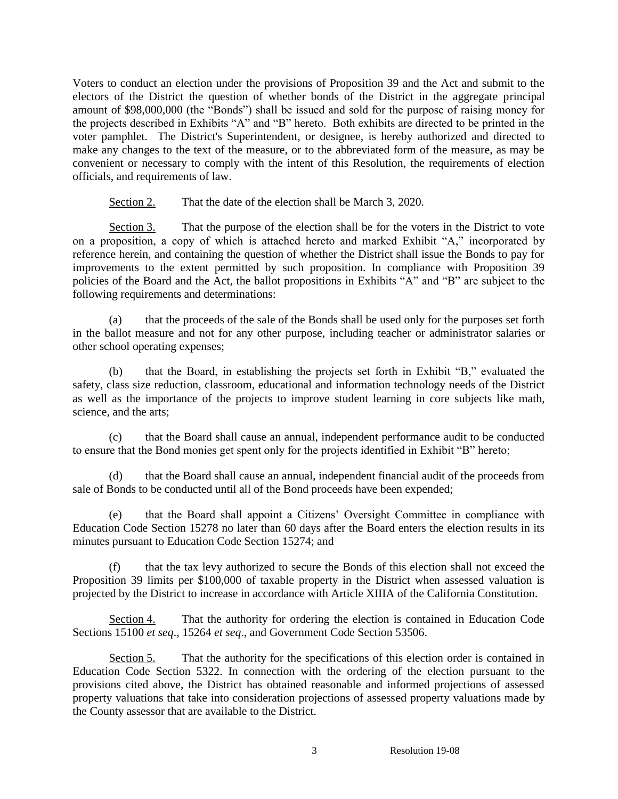Voters to conduct an election under the provisions of Proposition 39 and the Act and submit to the electors of the District the question of whether bonds of the District in the aggregate principal amount of \$98,000,000 (the "Bonds") shall be issued and sold for the purpose of raising money for the projects described in Exhibits "A" and "B" hereto. Both exhibits are directed to be printed in the voter pamphlet. The District's Superintendent, or designee, is hereby authorized and directed to make any changes to the text of the measure, or to the abbreviated form of the measure, as may be convenient or necessary to comply with the intent of this Resolution, the requirements of election officials, and requirements of law.

Section 2. That the date of the election shall be March 3, 2020.

Section 3. That the purpose of the election shall be for the voters in the District to vote on a proposition, a copy of which is attached hereto and marked Exhibit "A," incorporated by reference herein, and containing the question of whether the District shall issue the Bonds to pay for improvements to the extent permitted by such proposition. In compliance with Proposition 39 policies of the Board and the Act, the ballot propositions in Exhibits "A" and "B" are subject to the following requirements and determinations:

(a) that the proceeds of the sale of the Bonds shall be used only for the purposes set forth in the ballot measure and not for any other purpose, including teacher or administrator salaries or other school operating expenses;

(b) that the Board, in establishing the projects set forth in Exhibit "B," evaluated the safety, class size reduction, classroom, educational and information technology needs of the District as well as the importance of the projects to improve student learning in core subjects like math, science, and the arts;

(c) that the Board shall cause an annual, independent performance audit to be conducted to ensure that the Bond monies get spent only for the projects identified in Exhibit "B" hereto;

(d) that the Board shall cause an annual, independent financial audit of the proceeds from sale of Bonds to be conducted until all of the Bond proceeds have been expended;

(e) that the Board shall appoint a Citizens' Oversight Committee in compliance with Education Code Section 15278 no later than 60 days after the Board enters the election results in its minutes pursuant to Education Code Section 15274; and

(f) that the tax levy authorized to secure the Bonds of this election shall not exceed the Proposition 39 limits per \$100,000 of taxable property in the District when assessed valuation is projected by the District to increase in accordance with Article XIIIA of the California Constitution.

Section 4. That the authority for ordering the election is contained in Education Code Sections 15100 *et seq*., 15264 *et seq*., and Government Code Section 53506.

Section 5. That the authority for the specifications of this election order is contained in Education Code Section 5322. In connection with the ordering of the election pursuant to the provisions cited above, the District has obtained reasonable and informed projections of assessed property valuations that take into consideration projections of assessed property valuations made by the County assessor that are available to the District.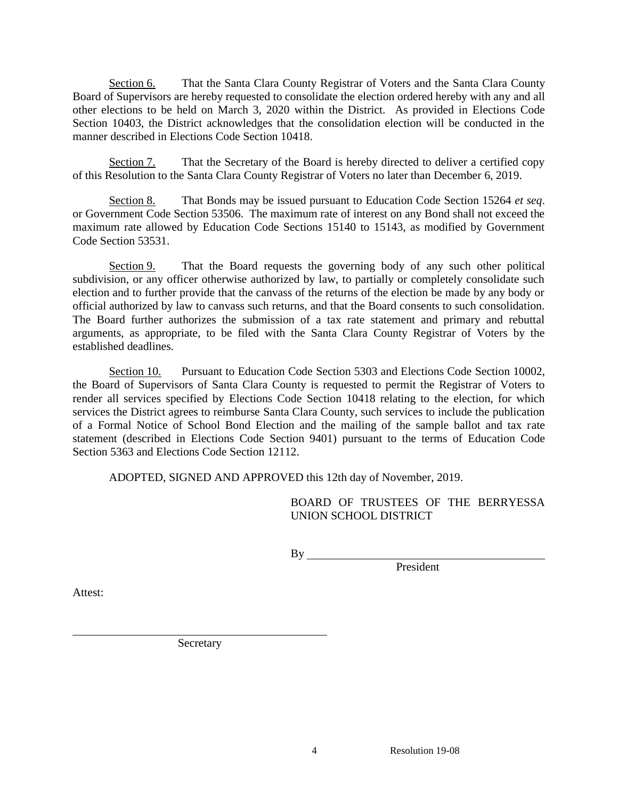Section 6. That the Santa Clara County Registrar of Voters and the Santa Clara County Board of Supervisors are hereby requested to consolidate the election ordered hereby with any and all other elections to be held on March 3, 2020 within the District. As provided in Elections Code Section 10403, the District acknowledges that the consolidation election will be conducted in the manner described in Elections Code Section 10418.

Section 7. That the Secretary of the Board is hereby directed to deliver a certified copy of this Resolution to the Santa Clara County Registrar of Voters no later than December 6, 2019.

Section 8. That Bonds may be issued pursuant to Education Code Section 15264 *et seq*. or Government Code Section 53506. The maximum rate of interest on any Bond shall not exceed the maximum rate allowed by Education Code Sections 15140 to 15143, as modified by Government Code Section 53531.

Section 9. That the Board requests the governing body of any such other political subdivision, or any officer otherwise authorized by law, to partially or completely consolidate such election and to further provide that the canvass of the returns of the election be made by any body or official authorized by law to canvass such returns, and that the Board consents to such consolidation. The Board further authorizes the submission of a tax rate statement and primary and rebuttal arguments, as appropriate, to be filed with the Santa Clara County Registrar of Voters by the established deadlines.

Section 10. Pursuant to Education Code Section 5303 and Elections Code Section 10002, the Board of Supervisors of Santa Clara County is requested to permit the Registrar of Voters to render all services specified by Elections Code Section 10418 relating to the election, for which services the District agrees to reimburse Santa Clara County, such services to include the publication of a Formal Notice of School Bond Election and the mailing of the sample ballot and tax rate statement (described in Elections Code Section 9401) pursuant to the terms of Education Code Section 5363 and Elections Code Section 12112.

ADOPTED, SIGNED AND APPROVED this 12th day of November, 2019.

BOARD OF TRUSTEES OF THE BERRYESSA UNION SCHOOL DISTRICT

 $By$  \_\_

President

Attest:

Secretary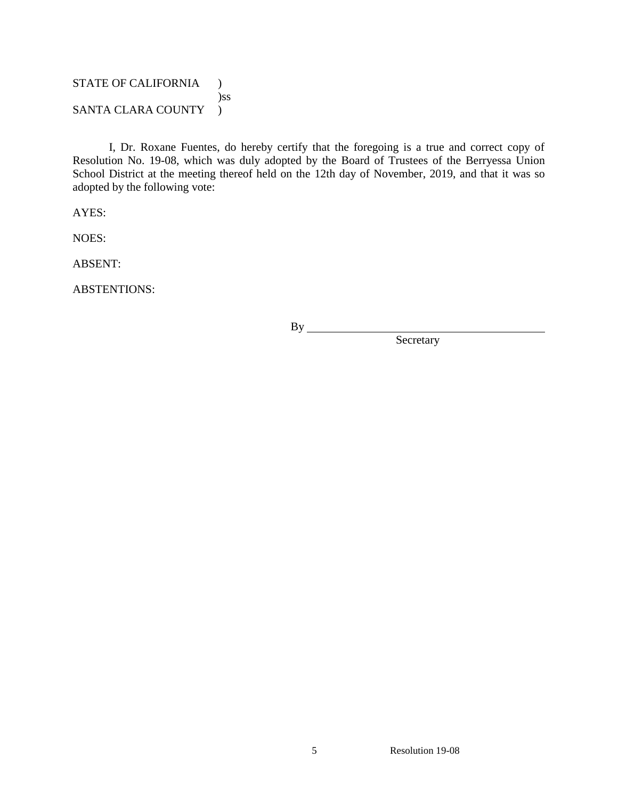# STATE OF CALIFORNIA ) )ss SANTA CLARA COUNTY )

I, Dr. Roxane Fuentes, do hereby certify that the foregoing is a true and correct copy of Resolution No. 19-08, which was duly adopted by the Board of Trustees of the Berryessa Union School District at the meeting thereof held on the 12th day of November, 2019, and that it was so adopted by the following vote:

AYES:

NOES:

ABSENT:

ABSTENTIONS:

 $By$ <sub>—</sub>

Secretary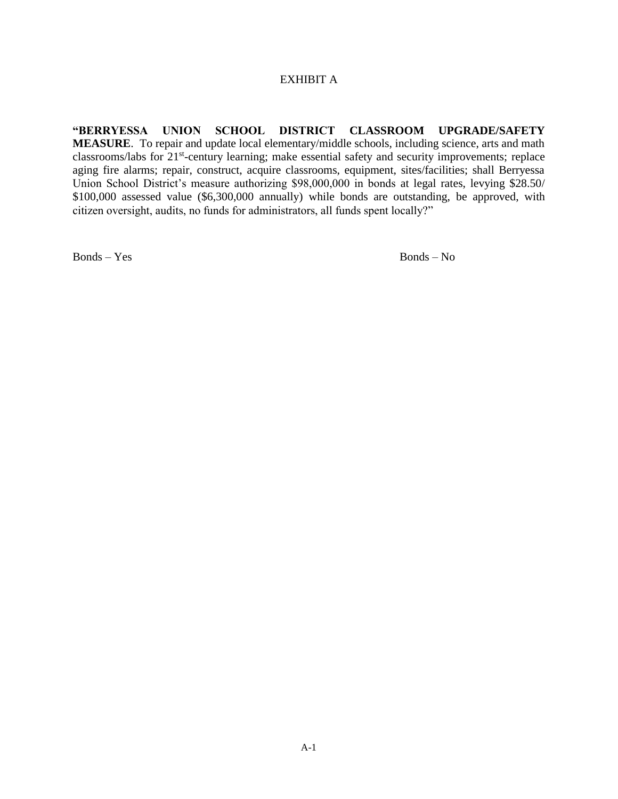### EXHIBIT A

**"BERRYESSA UNION SCHOOL DISTRICT CLASSROOM UPGRADE/SAFETY MEASURE**. To repair and update local elementary/middle schools, including science, arts and math classrooms/labs for 21<sup>st</sup>-century learning; make essential safety and security improvements; replace aging fire alarms; repair, construct, acquire classrooms, equipment, sites/facilities; shall Berryessa Union School District's measure authorizing \$98,000,000 in bonds at legal rates, levying \$28.50/ \$100,000 assessed value (\$6,300,000 annually) while bonds are outstanding, be approved, with citizen oversight, audits, no funds for administrators, all funds spent locally?"

Bonds – Yes Bonds – No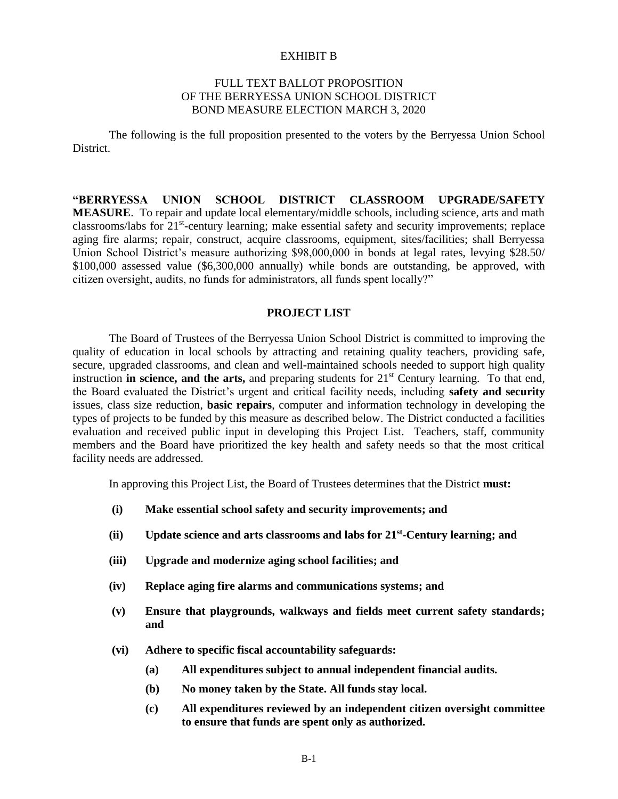#### EXHIBIT B

### FULL TEXT BALLOT PROPOSITION OF THE BERRYESSA UNION SCHOOL DISTRICT BOND MEASURE ELECTION MARCH 3, 2020

The following is the full proposition presented to the voters by the Berryessa Union School District.

**"BERRYESSA UNION SCHOOL DISTRICT CLASSROOM UPGRADE/SAFETY MEASURE**. To repair and update local elementary/middle schools, including science, arts and math classrooms/labs for 21<sup>st</sup>-century learning; make essential safety and security improvements; replace aging fire alarms; repair, construct, acquire classrooms, equipment, sites/facilities; shall Berryessa Union School District's measure authorizing \$98,000,000 in bonds at legal rates, levying \$28.50/ \$100,000 assessed value (\$6,300,000 annually) while bonds are outstanding, be approved, with citizen oversight, audits, no funds for administrators, all funds spent locally?"

### **PROJECT LIST**

The Board of Trustees of the Berryessa Union School District is committed to improving the quality of education in local schools by attracting and retaining quality teachers, providing safe, secure, upgraded classrooms, and clean and well-maintained schools needed to support high quality instruction **in science, and the arts,** and preparing students for 21<sup>st</sup> Century learning. To that end, the Board evaluated the District's urgent and critical facility needs, including **safety and security** issues, class size reduction, **basic repairs**, computer and information technology in developing the types of projects to be funded by this measure as described below. The District conducted a facilities evaluation and received public input in developing this Project List. Teachers, staff, community members and the Board have prioritized the key health and safety needs so that the most critical facility needs are addressed.

In approving this Project List, the Board of Trustees determines that the District **must:**

- **(i) Make essential school safety and security improvements; and**
- **(ii) Update science and arts classrooms and labs for 21st -Century learning; and**
- **(iii) Upgrade and modernize aging school facilities; and**
- **(iv) Replace aging fire alarms and communications systems; and**
- **(v) Ensure that playgrounds, walkways and fields meet current safety standards; and**
- **(vi) Adhere to specific fiscal accountability safeguards:**
	- **(a) All expenditures subject to annual independent financial audits.**
	- **(b) No money taken by the State. All funds stay local.**
	- **(c) All expenditures reviewed by an independent citizen oversight committee to ensure that funds are spent only as authorized.**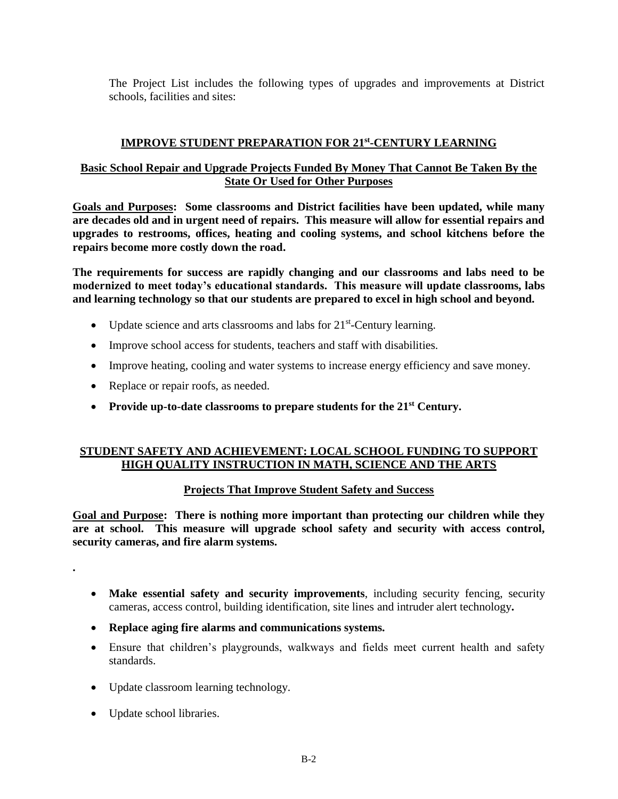The Project List includes the following types of upgrades and improvements at District schools, facilities and sites:

# **IMPROVE STUDENT PREPARATION FOR 21st -CENTURY LEARNING**

# **Basic School Repair and Upgrade Projects Funded By Money That Cannot Be Taken By the State Or Used for Other Purposes**

**Goals and Purposes: Some classrooms and District facilities have been updated, while many are decades old and in urgent need of repairs. This measure will allow for essential repairs and upgrades to restrooms, offices, heating and cooling systems, and school kitchens before the repairs become more costly down the road.**

**The requirements for success are rapidly changing and our classrooms and labs need to be modernized to meet today's educational standards. This measure will update classrooms, labs and learning technology so that our students are prepared to excel in high school and beyond.**

- $\bullet$  Update science and arts classrooms and labs for 21<sup>st</sup>-Century learning.
- Improve school access for students, teachers and staff with disabilities.
- Improve heating, cooling and water systems to increase energy efficiency and save money.
- Replace or repair roofs, as needed.
- **Provide up-to-date classrooms to prepare students for the 21st Century.**

# **STUDENT SAFETY AND ACHIEVEMENT: LOCAL SCHOOL FUNDING TO SUPPORT HIGH QUALITY INSTRUCTION IN MATH, SCIENCE AND THE ARTS**

# **Projects That Improve Student Safety and Success**

**Goal and Purpose: There is nothing more important than protecting our children while they are at school. This measure will upgrade school safety and security with access control, security cameras, and fire alarm systems.**

**.**

- **Make essential safety and security improvements**, including security fencing, security cameras, access control, building identification, site lines and intruder alert technology**.**
- **Replace aging fire alarms and communications systems.**
- Ensure that children's playgrounds, walkways and fields meet current health and safety standards.
- Update classroom learning technology.
- Update school libraries.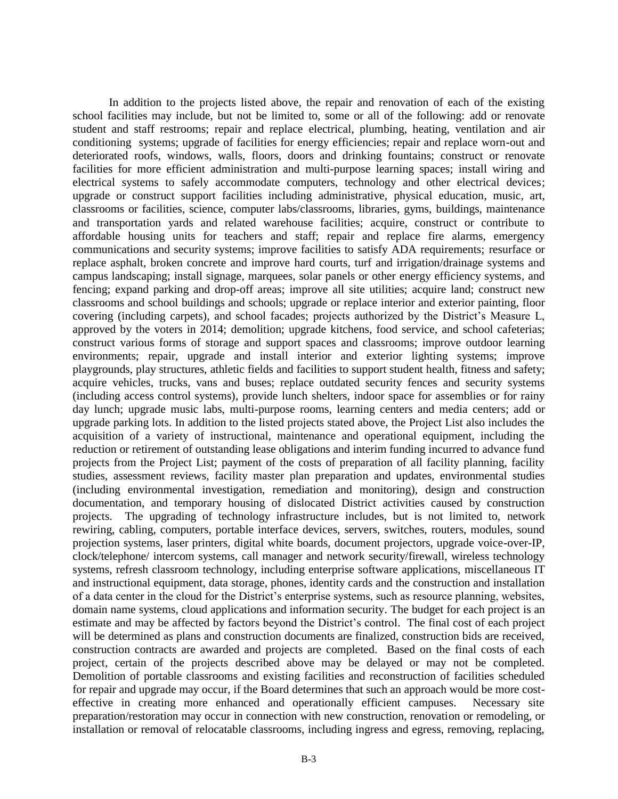In addition to the projects listed above, the repair and renovation of each of the existing school facilities may include, but not be limited to, some or all of the following: add or renovate student and staff restrooms; repair and replace electrical, plumbing, heating, ventilation and air conditioning systems; upgrade of facilities for energy efficiencies; repair and replace worn-out and deteriorated roofs, windows, walls, floors, doors and drinking fountains; construct or renovate facilities for more efficient administration and multi-purpose learning spaces; install wiring and electrical systems to safely accommodate computers, technology and other electrical devices; upgrade or construct support facilities including administrative, physical education, music, art, classrooms or facilities, science, computer labs/classrooms, libraries, gyms, buildings, maintenance and transportation yards and related warehouse facilities; acquire, construct or contribute to affordable housing units for teachers and staff; repair and replace fire alarms, emergency communications and security systems; improve facilities to satisfy ADA requirements; resurface or replace asphalt, broken concrete and improve hard courts, turf and irrigation/drainage systems and campus landscaping; install signage, marquees, solar panels or other energy efficiency systems, and fencing; expand parking and drop-off areas; improve all site utilities; acquire land; construct new classrooms and school buildings and schools; upgrade or replace interior and exterior painting, floor covering (including carpets), and school facades; projects authorized by the District's Measure L, approved by the voters in 2014; demolition; upgrade kitchens, food service, and school cafeterias; construct various forms of storage and support spaces and classrooms; improve outdoor learning environments; repair, upgrade and install interior and exterior lighting systems; improve playgrounds, play structures, athletic fields and facilities to support student health, fitness and safety; acquire vehicles, trucks, vans and buses; replace outdated security fences and security systems (including access control systems), provide lunch shelters, indoor space for assemblies or for rainy day lunch; upgrade music labs, multi-purpose rooms, learning centers and media centers; add or upgrade parking lots. In addition to the listed projects stated above, the Project List also includes the acquisition of a variety of instructional, maintenance and operational equipment, including the reduction or retirement of outstanding lease obligations and interim funding incurred to advance fund projects from the Project List; payment of the costs of preparation of all facility planning, facility studies, assessment reviews, facility master plan preparation and updates, environmental studies (including environmental investigation, remediation and monitoring), design and construction documentation, and temporary housing of dislocated District activities caused by construction projects. The upgrading of technology infrastructure includes, but is not limited to, network rewiring, cabling, computers, portable interface devices, servers, switches, routers, modules, sound projection systems, laser printers, digital white boards, document projectors, upgrade voice-over-IP, clock/telephone/ intercom systems, call manager and network security/firewall, wireless technology systems, refresh classroom technology, including enterprise software applications, miscellaneous IT and instructional equipment, data storage, phones, identity cards and the construction and installation of a data center in the cloud for the District's enterprise systems, such as resource planning, websites, domain name systems, cloud applications and information security. The budget for each project is an estimate and may be affected by factors beyond the District's control. The final cost of each project will be determined as plans and construction documents are finalized, construction bids are received, construction contracts are awarded and projects are completed. Based on the final costs of each project, certain of the projects described above may be delayed or may not be completed. Demolition of portable classrooms and existing facilities and reconstruction of facilities scheduled for repair and upgrade may occur, if the Board determines that such an approach would be more costeffective in creating more enhanced and operationally efficient campuses. Necessary site preparation/restoration may occur in connection with new construction, renovation or remodeling, or installation or removal of relocatable classrooms, including ingress and egress, removing, replacing,